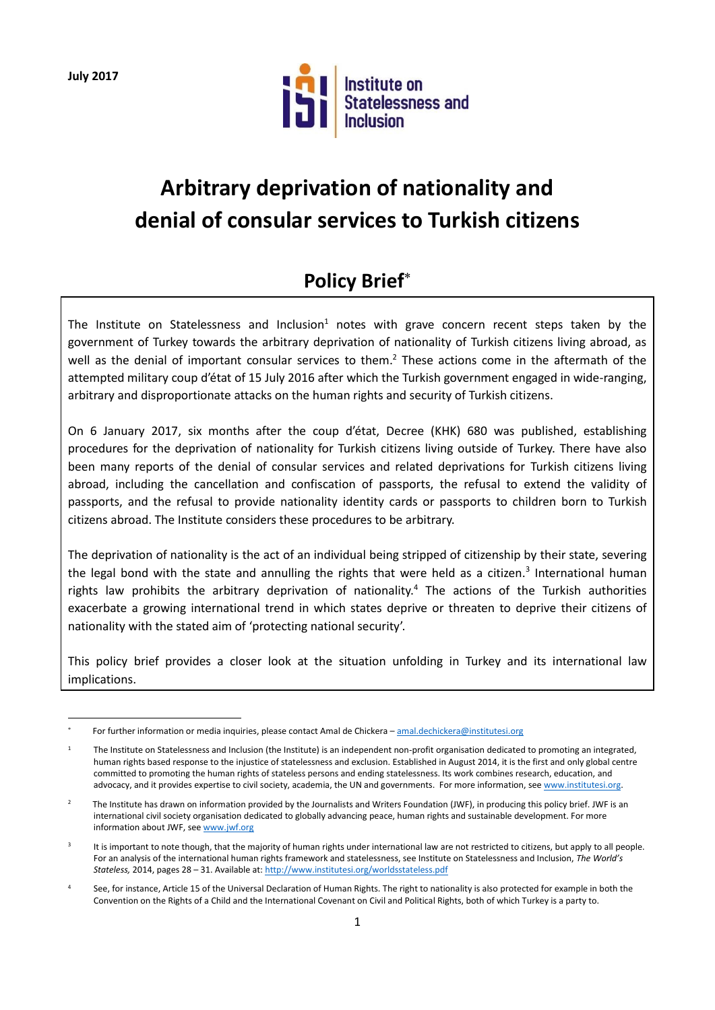**July 2017**

1



# **Arbitrary deprivation of nationality and denial of consular services to Turkish citizens**

## **Policy Brief**

The Institute on Statelessness and Inclusion<sup>1</sup> notes with grave concern recent steps taken by the government of Turkey towards the arbitrary deprivation of nationality of Turkish citizens living abroad, as well as the denial of important consular services to them.<sup>2</sup> These actions come in the aftermath of the attempted military coup d'état of 15 July 2016 after which the Turkish government engaged in wide-ranging, arbitrary and disproportionate attacks on the human rights and security of Turkish citizens.

On 6 January 2017, six months after the coup d'état, Decree (KHK) 680 was published, establishing procedures for the deprivation of nationality for Turkish citizens living outside of Turkey. There have also been many reports of the denial of consular services and related deprivations for Turkish citizens living abroad, including the cancellation and confiscation of passports, the refusal to extend the validity of passports, and the refusal to provide nationality identity cards or passports to children born to Turkish citizens abroad. The Institute considers these procedures to be arbitrary.

The deprivation of nationality is the act of an individual being stripped of citizenship by their state, severing the legal bond with the state and annulling the rights that were held as a citizen.<sup>3</sup> International human rights law prohibits the arbitrary deprivation of nationality.<sup>4</sup> The actions of the Turkish authorities exacerbate a growing international trend in which states deprive or threaten to deprive their citizens of nationality with the stated aim of 'protecting national security'.

This policy brief provides a closer look at the situation unfolding in Turkey and its international law implications.

<sup>\*</sup> For further information or media inquiries, please contact Amal de Chickera - [amal.dechickera@institutesi.org](mailto:amal.dechickera@institutesi.org)

<sup>1</sup> The Institute on Statelessness and Inclusion (the Institute) is an independent non-profit organisation dedicated to promoting an integrated, human rights based response to the injustice of statelessness and exclusion. Established in August 2014, it is the first and only global centre committed to promoting the human rights of stateless persons and ending statelessness. Its work combines research, education, and advocacy, and it provides expertise to civil society, academia, the UN and governments. For more information, se[e www.institutesi.org.](http://www.institutesi.org/)

 $\overline{2}$  The Institute has drawn on information provided by the Journalists and Writers Foundation (JWF), in producing this policy brief. JWF is an international civil society organisation dedicated to globally advancing peace, human rights and sustainable development. For more information about JWF, se[e www.jwf.org](http://www.jwf.org/)

<sup>3</sup> It is important to note though, that the majority of human rights under international law are not restricted to citizens, but apply to all people. For an analysis of the international human rights framework and statelessness, see Institute on Statelessness and Inclusion, *The World's Stateless,* 2014, pages 28 – 31. Available at:<http://www.institutesi.org/worldsstateless.pdf>

See, for instance, Article 15 of the Universal Declaration of Human Rights. The right to nationality is also protected for example in both the Convention on the Rights of a Child and the International Covenant on Civil and Political Rights, both of which Turkey is a party to.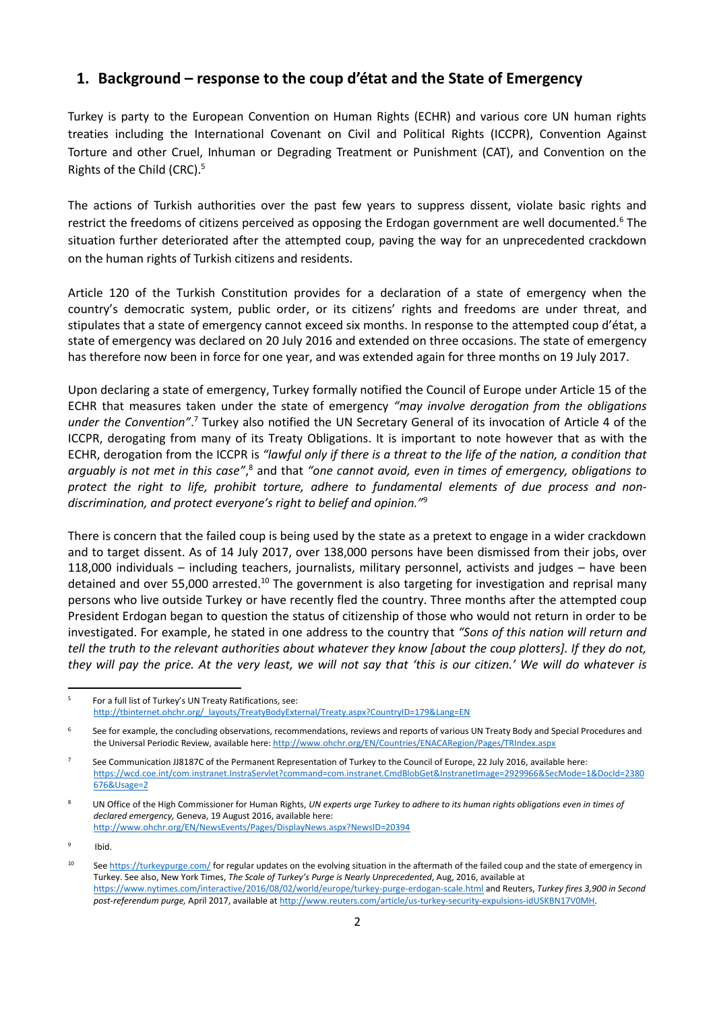### **1. Background – response to the coup d'état and the State of Emergency**

Turkey is party to the European Convention on Human Rights (ECHR) and various core UN human rights treaties including the International Covenant on Civil and Political Rights (ICCPR), Convention Against Torture and other Cruel, Inhuman or Degrading Treatment or Punishment (CAT), and Convention on the Rights of the Child (CRC).<sup>5</sup>

The actions of Turkish authorities over the past few years to suppress dissent, violate basic rights and restrict the freedoms of citizens perceived as opposing the Erdogan government are well documented.<sup>6</sup> The situation further deteriorated after the attempted coup, paving the way for an unprecedented crackdown on the human rights of Turkish citizens and residents.

Article 120 of the Turkish Constitution provides for a declaration of a state of emergency when the country's democratic system, public order, or its citizens' rights and freedoms are under threat, and stipulates that a state of emergency cannot exceed six months. In response to the attempted coup d'état, a state of emergency was declared on 20 July 2016 and extended on three occasions. The state of emergency has therefore now been in force for one year, and was extended again for three months on 19 July 2017.

Upon declaring a state of emergency, Turkey formally notified the Council of Europe under Article 15 of the ECHR that measures taken under the state of emergency *"may involve derogation from the obligations under the Convention"*. <sup>7</sup> Turkey also notified the UN Secretary General of its invocation of Article 4 of the ICCPR, derogating from many of its Treaty Obligations. It is important to note however that as with the ECHR, derogation from the ICCPR is *"lawful only if there is a threat to the life of the nation, a condition that*  arguably is not met in this case",<sup>8</sup> and that "one cannot avoid, even in times of emergency, obligations to *protect the right to life, prohibit torture, adhere to fundamental elements of due process and nondiscrimination, and protect everyone's right to belief and opinion."*<sup>9</sup>

There is concern that the failed coup is being used by the state as a pretext to engage in a wider crackdown and to target dissent. As of 14 July 2017, over 138,000 persons have been dismissed from their jobs, over 118,000 individuals – including teachers, journalists, military personnel, activists and judges – have been detained and over 55,000 arrested.<sup>10</sup> The government is also targeting for investigation and reprisal many persons who live outside Turkey or have recently fled the country. Three months after the attempted coup President Erdogan began to question the status of citizenship of those who would not return in order to be investigated. For example, he stated in one address to the country that *"Sons of this nation will return and tell the truth to the relevant authorities about whatever they know [about the coup plotters]. If they do not, they will pay the price. At the very least, we will not say that 'this is our citizen.' We will do whatever is* 

<sup>1</sup> 5 For a full list of Turkey's UN Treaty Ratifications, see: [http://tbinternet.ohchr.org/\\_layouts/TreatyBodyExternal/Treaty.aspx?CountryID=179&Lang=EN](http://tbinternet.ohchr.org/_layouts/TreatyBodyExternal/Treaty.aspx?CountryID=179&Lang=EN)

<sup>6</sup> See for example, the concluding observations, recommendations, reviews and reports of various UN Treaty Body and Special Procedures and the Universal Periodic Review, available here:<http://www.ohchr.org/EN/Countries/ENACARegion/Pages/TRIndex.aspx>

<sup>7</sup> See Communication JJ8187C of the Permanent Representation of Turkey to the Council of Europe, 22 July 2016, available here: [https://wcd.coe.int/com.instranet.InstraServlet?command=com.instranet.CmdBlobGet&InstranetImage=2929966&SecMode=1&DocId=2380](https://wcd.coe.int/com.instranet.InstraServlet?command=com.instranet.CmdBlobGet&InstranetImage=2929966&SecMode=1&DocId=2380676&Usage=2) [676&Usage=2](https://wcd.coe.int/com.instranet.InstraServlet?command=com.instranet.CmdBlobGet&InstranetImage=2929966&SecMode=1&DocId=2380676&Usage=2)

<sup>8</sup> UN Office of the High Commissioner for Human Rights, *UN experts urge Turkey to adhere to its human rights obligations even in times of declared emergency,* Geneva, 19 August 2016, available here: <http://www.ohchr.org/EN/NewsEvents/Pages/DisplayNews.aspx?NewsID=20394>

<sup>9</sup> Ibid.

<sup>&</sup>lt;sup>10</sup> Se[e https://turkeypurge.com/](https://turkeypurge.com/) for regular updates on the evolving situation in the aftermath of the failed coup and the state of emergency in Turkey. See also, New York Times, *The Scale of Turkey's Purge is Nearly Unprecedented*, Aug, 2016, available at <https://www.nytimes.com/interactive/2016/08/02/world/europe/turkey-purge-erdogan-scale.html> and Reuters, *Turkey fires 3,900 in Second post-referendum purge,* April 2017, available a[t http://www.reuters.com/article/us-turkey-security-expulsions-idUSKBN17V0MH.](http://www.reuters.com/article/us-turkey-security-expulsions-idUSKBN17V0MH)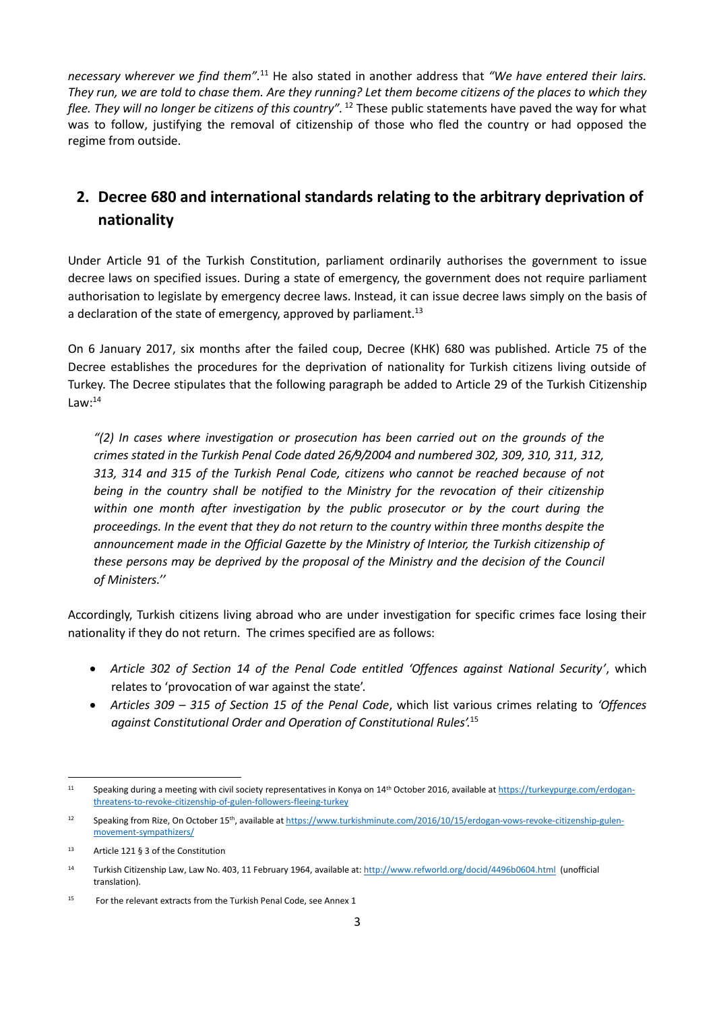*necessary wherever we find them".*<sup>11</sup> He also stated in another address that *"We have entered their lairs. They run, we are told to chase them. Are they running? Let them become citizens of the places to which they flee. They will no longer be citizens of this country".* <sup>12</sup> These public statements have paved the way for what was to follow, justifying the removal of citizenship of those who fled the country or had opposed the regime from outside.

## **2. Decree 680 and international standards relating to the arbitrary deprivation of nationality**

Under Article 91 of the Turkish Constitution, parliament ordinarily authorises the government to issue decree laws on specified issues. During a state of emergency, the government does not require parliament authorisation to legislate by emergency decree laws. Instead, it can issue decree laws simply on the basis of a declaration of the state of emergency, approved by parliament.<sup>13</sup>

On 6 January 2017, six months after the failed coup, Decree (KHK) 680 was published. Article 75 of the Decree establishes the procedures for the deprivation of nationality for Turkish citizens living outside of Turkey. The Decree stipulates that the following paragraph be added to Article 29 of the Turkish Citizenship Law: $^{14}$ 

*"(2) In cases where investigation or prosecution has been carried out on the grounds of the crimes stated in the Turkish Penal Code dated 26/9/2004 and numbered 302, 309, 310, 311, 312, 313, 314 and 315 of the Turkish Penal Code, citizens who cannot be reached because of not being in the country shall be notified to the Ministry for the revocation of their citizenship within one month after investigation by the public prosecutor or by the court during the proceedings. In the event that they do not return to the country within three months despite the announcement made in the Official Gazette by the Ministry of Interior, the Turkish citizenship of these persons may be deprived by the proposal of the Ministry and the decision of the Council of Ministers.''*

Accordingly, Turkish citizens living abroad who are under investigation for specific crimes face losing their nationality if they do not return. The crimes specified are as follows:

- *Article 302 of Section 14 of the Penal Code entitled 'Offences against National Security'*, which relates to 'provocation of war against the state'.
- *Articles 309 – 315 of Section 15 of the Penal Code*, which list various crimes relating to *'Offences against Constitutional Order and Operation of Constitutional Rules'.*<sup>15</sup>

**<sup>.</sup>** <sup>11</sup> Speaking during a meeting with civil society representatives in Konya on 14<sup>th</sup> October 2016, available a[t https://turkeypurge.com/erdogan](https://turkeypurge.com/erdogan-threatens-to-revoke-citizenship-of-gulen-followers-fleeing-turkey)[threatens-to-revoke-citizenship-of-gulen-followers-fleeing-turkey](https://turkeypurge.com/erdogan-threatens-to-revoke-citizenship-of-gulen-followers-fleeing-turkey)

<sup>&</sup>lt;sup>12</sup> Speaking from Rize, On October 15<sup>th</sup>, available a[t https://www.turkishminute.com/2016/10/15/erdogan-vows-revoke-citizenship-gulen](https://www.turkishminute.com/2016/10/15/erdogan-vows-revoke-citizenship-gulen-movement-sympathizers/)[movement-sympathizers/](https://www.turkishminute.com/2016/10/15/erdogan-vows-revoke-citizenship-gulen-movement-sympathizers/)

<sup>13</sup> Article 121 § 3 of the Constitution

<sup>14</sup> Turkish Citizenship Law, Law No. 403, 11 February 1964, available at[: http://www.refworld.org/docid/4496b0604.html](http://www.refworld.org/docid/4496b0604.html) (unofficial translation).

<sup>&</sup>lt;sup>15</sup> For the relevant extracts from the Turkish Penal Code, see Annex 1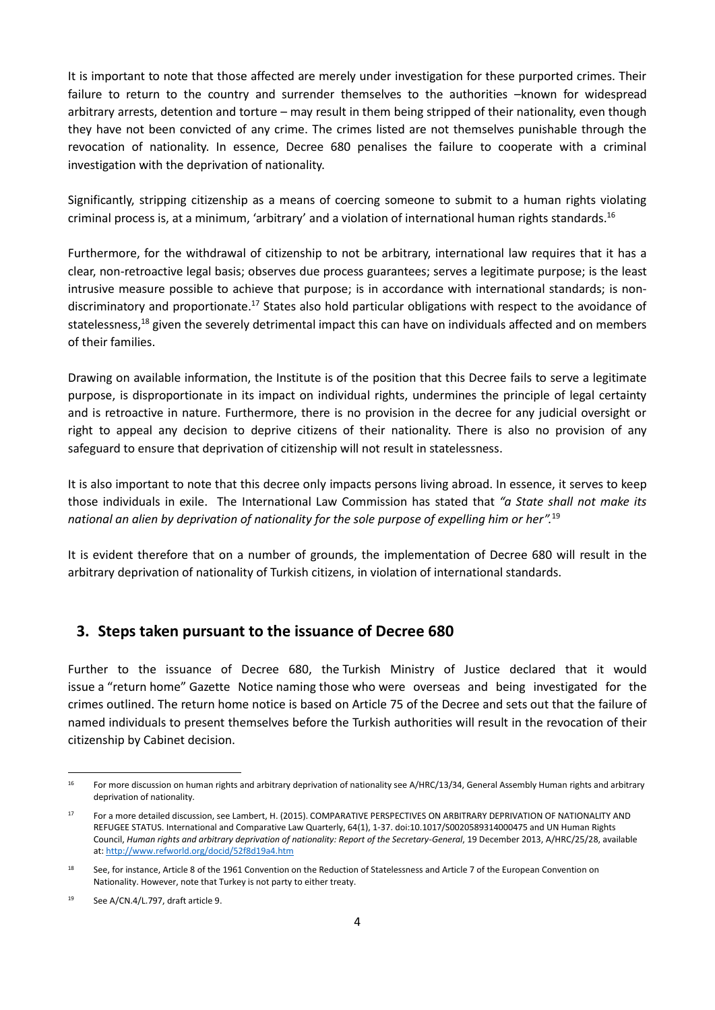It is important to note that those affected are merely under investigation for these purported crimes. Their failure to return to the country and surrender themselves to the authorities –known for widespread arbitrary arrests, detention and torture – may result in them being stripped of their nationality, even though they have not been convicted of any crime. The crimes listed are not themselves punishable through the revocation of nationality. In essence, Decree 680 penalises the failure to cooperate with a criminal investigation with the deprivation of nationality.

Significantly, stripping citizenship as a means of coercing someone to submit to a human rights violating criminal process is, at a minimum, 'arbitrary' and a violation of international human rights standards. 16

Furthermore, for the withdrawal of citizenship to not be arbitrary, international law requires that it has a clear, non-retroactive legal basis; observes due process guarantees; serves a legitimate purpose; is the least intrusive measure possible to achieve that purpose; is in accordance with international standards; is nondiscriminatory and proportionate.<sup>17</sup> States also hold particular obligations with respect to the avoidance of statelessness,<sup>18</sup> given the severely detrimental impact this can have on individuals affected and on members of their families.

Drawing on available information, the Institute is of the position that this Decree fails to serve a legitimate purpose, is disproportionate in its impact on individual rights, undermines the principle of legal certainty and is retroactive in nature. Furthermore, there is no provision in the decree for any judicial oversight or right to appeal any decision to deprive citizens of their nationality. There is also no provision of any safeguard to ensure that deprivation of citizenship will not result in statelessness.

It is also important to note that this decree only impacts persons living abroad. In essence, it serves to keep those individuals in exile. The International Law Commission has stated that *"a State shall not make its national an alien by deprivation of nationality for the sole purpose of expelling him or her".*<sup>19</sup>

It is evident therefore that on a number of grounds, the implementation of Decree 680 will result in the arbitrary deprivation of nationality of Turkish citizens, in violation of international standards.

#### **3. Steps taken pursuant to the issuance of Decree 680**

Further to the issuance of Decree 680, the Turkish Ministry of Justice declared that it would issue a "return home" Gazette Notice naming those who were overseas and being investigated for the crimes outlined. The return home notice is based on Article 75 of the Decree and sets out that the failure of named individuals to present themselves before the Turkish authorities will result in the revocation of their citizenship by Cabinet decision.

**.** 

<sup>16</sup> For more discussion on human rights and arbitrary deprivation of nationality see A/HRC/13/34, General Assembly Human rights and arbitrary deprivation of nationality.

<sup>17</sup> For a more detailed discussion, see Lambert, H. (2015). COMPARATIVE PERSPECTIVES ON ARBITRARY DEPRIVATION OF NATIONALITY AND REFUGEE STATUS. International and Comparative Law Quarterly, 64(1), 1-37. doi:10.1017/S0020589314000475 and UN Human Rights Council, *Human rights and arbitrary deprivation of nationality: Report of the Secretary-General*, 19 December 2013, A/HRC/25/28, available at[: http://www.refworld.org/docid/52f8d19a4.htm](http://www.refworld.org/docid/52f8d19a4.htm)

<sup>&</sup>lt;sup>18</sup> See, for instance, Article 8 of the 1961 Convention on the Reduction of Statelessness and Article 7 of the European Convention on Nationality. However, note that Turkey is not party to either treaty.

<sup>19</sup> See A/CN.4/L.797, draft article 9.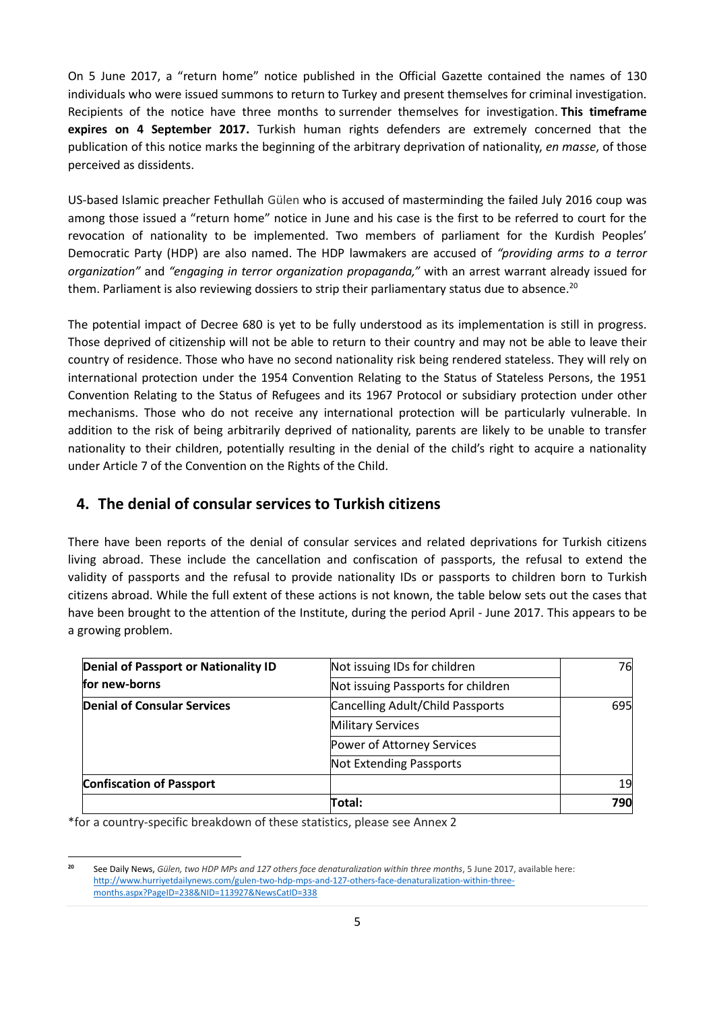On 5 June 2017, a "return home" notice published in the Official Gazette contained the names of 130 individuals who were issued summons to return to Turkey and present themselves for criminal investigation. Recipients of the notice have three months to surrender themselves for investigation. **This timeframe expires on 4 September 2017.** Turkish human rights defenders are extremely concerned that the publication of this notice marks the beginning of the arbitrary deprivation of nationality, *en masse*, of those perceived as dissidents.

US-based Islamic preacher Fethullah Gülen who is accused of masterminding the failed July 2016 coup was among those issued a "return home" notice in June and his case is the first to be referred to court for the revocation of nationality to be implemented. Two members of parliament for the Kurdish Peoples' Democratic Party (HDP) are also named. The HDP lawmakers are accused of *"providing arms to a terror organization"* and *"engaging in terror organization propaganda,"* with an arrest warrant already issued for them. Parliament is also reviewing dossiers to strip their parliamentary status due to absence.<sup>20</sup>

The potential impact of Decree 680 is yet to be fully understood as its implementation is still in progress. Those deprived of citizenship will not be able to return to their country and may not be able to leave their country of residence. Those who have no second nationality risk being rendered stateless. They will rely on international protection under the 1954 Convention Relating to the Status of Stateless Persons, the 1951 Convention Relating to the Status of Refugees and its 1967 Protocol or subsidiary protection under other mechanisms. Those who do not receive any international protection will be particularly vulnerable. In addition to the risk of being arbitrarily deprived of nationality, parents are likely to be unable to transfer nationality to their children, potentially resulting in the denial of the child's right to acquire a nationality under Article 7 of the Convention on the Rights of the Child.

### **4. The denial of consular services to Turkish citizens**

There have been reports of the denial of consular services and related deprivations for Turkish citizens living abroad. These include the cancellation and confiscation of passports, the refusal to extend the validity of passports and the refusal to provide nationality IDs or passports to children born to Turkish citizens abroad. While the full extent of these actions is not known, the table below sets out the cases that have been brought to the attention of the Institute, during the period April - June 2017. This appears to be a growing problem.

| <b>Denial of Passport or Nationality ID</b><br>Not issuing IDs for children |                                  | 76  |
|-----------------------------------------------------------------------------|----------------------------------|-----|
| for new-borns<br>Not issuing Passports for children                         |                                  |     |
| Denial of Consular Services                                                 | Cancelling Adult/Child Passports | 695 |
|                                                                             | <b>Military Services</b>         |     |
|                                                                             | Power of Attorney Services       |     |
|                                                                             | Not Extending Passports          |     |
| <b>Confiscation of Passport</b>                                             |                                  | 19  |
|                                                                             | Total:                           | 790 |

\*for a country-specific breakdown of these statistics, please see Annex 2

**<sup>.</sup> 20** See Daily News, *Gülen, two HDP MPs and 127 others face denaturalization within three months*, 5 June 2017, available here: [http://www.hurriyetdailynews.com/gulen-two-hdp-mps-and-127-others-face-denaturalization-within-three](http://www.hurriyetdailynews.com/gulen-two-hdp-mps-and-127-others-face-denaturalization-within-three-months.aspx?PageID=238&NID=113927&NewsCatID=338)[months.aspx?PageID=238&NID=113927&NewsCatID=338](http://www.hurriyetdailynews.com/gulen-two-hdp-mps-and-127-others-face-denaturalization-within-three-months.aspx?PageID=238&NID=113927&NewsCatID=338)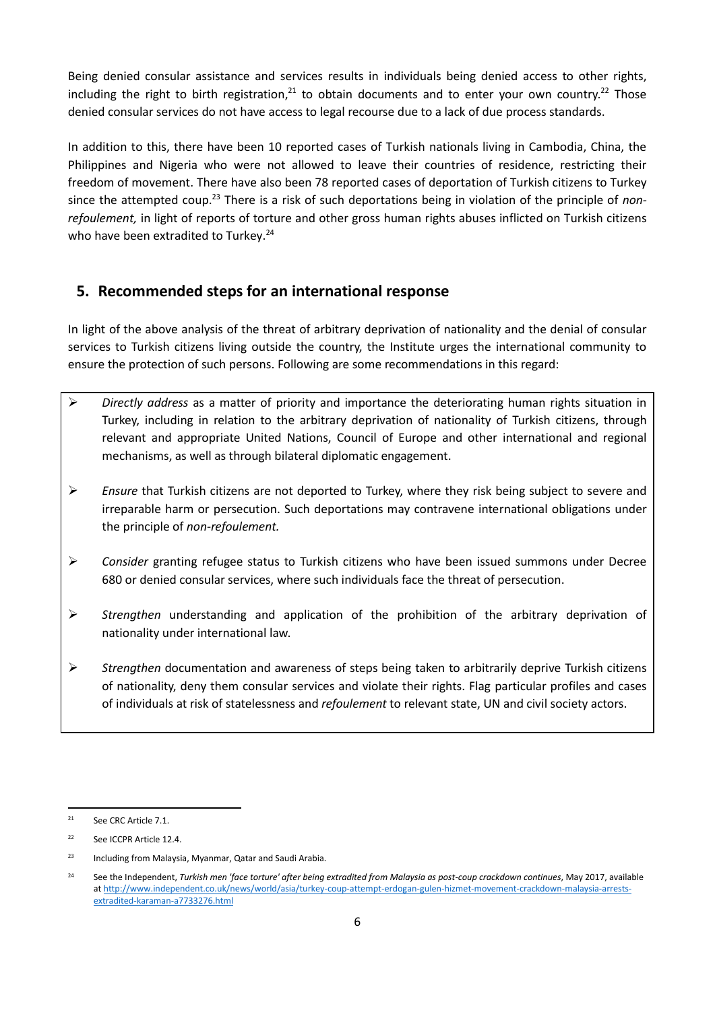Being denied consular assistance and services results in individuals being denied access to other rights, including the right to birth registration, $^{21}$  to obtain documents and to enter your own country.<sup>22</sup> Those denied consular services do not have access to legal recourse due to a lack of due process standards.

In addition to this, there have been 10 reported cases of Turkish nationals living in Cambodia, China, the Philippines and Nigeria who were not allowed to leave their countries of residence, restricting their freedom of movement. There have also been 78 reported cases of deportation of Turkish citizens to Turkey since the attempted coup.<sup>23</sup> There is a risk of such deportations being in violation of the principle of *nonrefoulement,* in light of reports of torture and other gross human rights abuses inflicted on Turkish citizens who have been extradited to Turkey.<sup>24</sup>

## **5. Recommended steps for an international response**

In light of the above analysis of the threat of arbitrary deprivation of nationality and the denial of consular services to Turkish citizens living outside the country, the Institute urges the international community to ensure the protection of such persons. Following are some recommendations in this regard:

- ➢ *Directly address* as a matter of priority and importance the deteriorating human rights situation in Turkey, including in relation to the arbitrary deprivation of nationality of Turkish citizens, through relevant and appropriate United Nations, Council of Europe and other international and regional mechanisms, as well as through bilateral diplomatic engagement.
- ➢ *Ensure* that Turkish citizens are not deported to Turkey, where they risk being subject to severe and irreparable harm or persecution. Such deportations may contravene international obligations under the principle of *non-refoulement.*
- ➢ *Consider* granting refugee status to Turkish citizens who have been issued summons under Decree 680 or denied consular services, where such individuals face the threat of persecution.
- ➢ *Strengthen* understanding and application of the prohibition of the arbitrary deprivation of nationality under international law.
- ➢ *Strengthen* documentation and awareness of steps being taken to arbitrarily deprive Turkish citizens of nationality, deny them consular services and violate their rights. Flag particular profiles and cases of individuals at risk of statelessness and *refoulement* to relevant state, UN and civil society actors.

**<sup>.</sup>** 21 See CRC Article 7.1.

 $22$ See ICCPR Article 12.4.

<sup>&</sup>lt;sup>23</sup> Including from Malaysia, Myanmar, Qatar and Saudi Arabia.

<sup>&</sup>lt;sup>24</sup> See the Independent, *Turkish men 'face torture' after being extradited from Malaysia as post-coup crackdown continues, May 2017, available* a[t http://www.independent.co.uk/news/world/asia/turkey-coup-attempt-erdogan-gulen-hizmet-movement-crackdown-malaysia-arrests](http://www.independent.co.uk/news/world/asia/turkey-coup-attempt-erdogan-gulen-hizmet-movement-crackdown-malaysia-arrests-extradited-karaman-a7733276.html)[extradited-karaman-a7733276.html](http://www.independent.co.uk/news/world/asia/turkey-coup-attempt-erdogan-gulen-hizmet-movement-crackdown-malaysia-arrests-extradited-karaman-a7733276.html)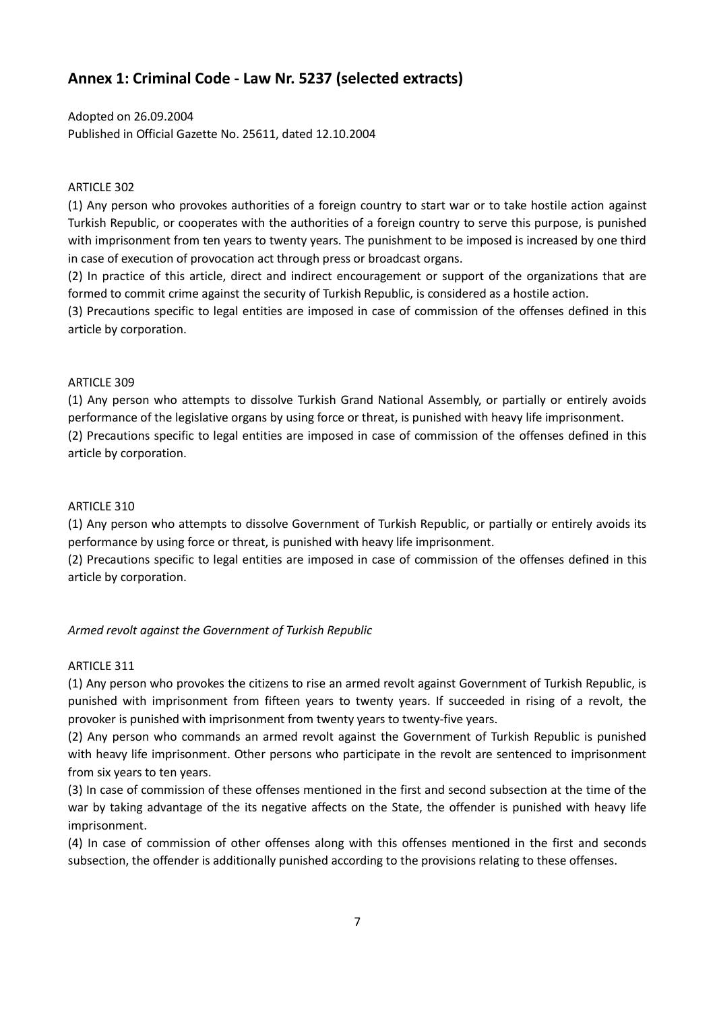## **Annex 1: Criminal Code - Law Nr. 5237 (selected extracts)**

Adopted on 26.09.2004 Published in Official Gazette No. 25611, dated 12.10.2004

#### ARTICLE 302

(1) Any person who provokes authorities of a foreign country to start war or to take hostile action against Turkish Republic, or cooperates with the authorities of a foreign country to serve this purpose, is punished with imprisonment from ten years to twenty years. The punishment to be imposed is increased by one third in case of execution of provocation act through press or broadcast organs.

(2) In practice of this article, direct and indirect encouragement or support of the organizations that are formed to commit crime against the security of Turkish Republic, is considered as a hostile action.

(3) Precautions specific to legal entities are imposed in case of commission of the offenses defined in this article by corporation.

#### ARTICLE 309

(1) Any person who attempts to dissolve Turkish Grand National Assembly, or partially or entirely avoids performance of the legislative organs by using force or threat, is punished with heavy life imprisonment. (2) Precautions specific to legal entities are imposed in case of commission of the offenses defined in this article by corporation.

#### ARTICLE 310

(1) Any person who attempts to dissolve Government of Turkish Republic, or partially or entirely avoids its performance by using force or threat, is punished with heavy life imprisonment.

(2) Precautions specific to legal entities are imposed in case of commission of the offenses defined in this article by corporation.

#### *Armed revolt against the Government of Turkish Republic*

#### ARTICLE 311

(1) Any person who provokes the citizens to rise an armed revolt against Government of Turkish Republic, is punished with imprisonment from fifteen years to twenty years. If succeeded in rising of a revolt, the provoker is punished with imprisonment from twenty years to twenty-five years.

(2) Any person who commands an armed revolt against the Government of Turkish Republic is punished with heavy life imprisonment. Other persons who participate in the revolt are sentenced to imprisonment from six years to ten years.

(3) In case of commission of these offenses mentioned in the first and second subsection at the time of the war by taking advantage of the its negative affects on the State, the offender is punished with heavy life imprisonment.

(4) In case of commission of other offenses along with this offenses mentioned in the first and seconds subsection, the offender is additionally punished according to the provisions relating to these offenses.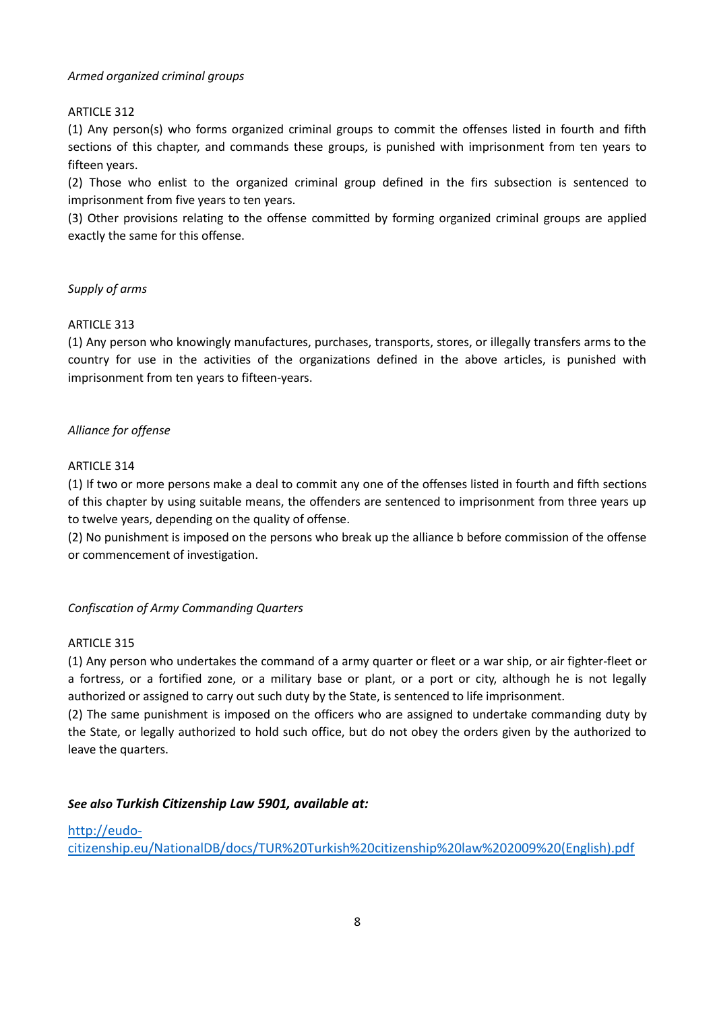#### *Armed organized criminal groups*

#### ARTICLE 312

(1) Any person(s) who forms organized criminal groups to commit the offenses listed in fourth and fifth sections of this chapter, and commands these groups, is punished with imprisonment from ten years to fifteen years.

(2) Those who enlist to the organized criminal group defined in the firs subsection is sentenced to imprisonment from five years to ten years.

(3) Other provisions relating to the offense committed by forming organized criminal groups are applied exactly the same for this offense.

#### *Supply of arms*

#### **ARTICLE 313**

(1) Any person who knowingly manufactures, purchases, transports, stores, or illegally transfers arms to the country for use in the activities of the organizations defined in the above articles, is punished with imprisonment from ten years to fifteen-years.

#### *Alliance for offense*

#### ARTICLE 314

(1) If two or more persons make a deal to commit any one of the offenses listed in fourth and fifth sections of this chapter by using suitable means, the offenders are sentenced to imprisonment from three years up to twelve years, depending on the quality of offense.

(2) No punishment is imposed on the persons who break up the alliance b before commission of the offense or commencement of investigation.

#### *Confiscation of Army Commanding Quarters*

#### ARTICLE 315

(1) Any person who undertakes the command of a army quarter or fleet or a war ship, or air fighter-fleet or a fortress, or a fortified zone, or a military base or plant, or a port or city, although he is not legally authorized or assigned to carry out such duty by the State, is sentenced to life imprisonment.

(2) The same punishment is imposed on the officers who are assigned to undertake commanding duty by the State, or legally authorized to hold such office, but do not obey the orders given by the authorized to leave the quarters.

#### *See also Turkish Citizenship Law 5901, available at:*

#### [http://eudo-](http://eudo-citizenship.eu/NationalDB/docs/TUR%20Turkish%20citizenship%20law%202009%20(English).pdf)

[citizenship.eu/NationalDB/docs/TUR%20Turkish%20citizenship%20law%202009%20\(English\).pdf](http://eudo-citizenship.eu/NationalDB/docs/TUR%20Turkish%20citizenship%20law%202009%20(English).pdf)